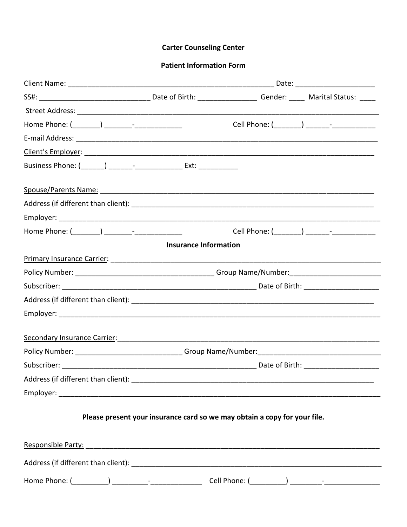#### **Carter Counseling Center**

#### **Patient Information Form**

| Business Phone: (_______) _______-___________________ Ext: ______________            |                              |  |  |  |  |  |  |
|--------------------------------------------------------------------------------------|------------------------------|--|--|--|--|--|--|
|                                                                                      |                              |  |  |  |  |  |  |
|                                                                                      |                              |  |  |  |  |  |  |
|                                                                                      |                              |  |  |  |  |  |  |
|                                                                                      |                              |  |  |  |  |  |  |
|                                                                                      | <b>Insurance Information</b> |  |  |  |  |  |  |
|                                                                                      |                              |  |  |  |  |  |  |
|                                                                                      |                              |  |  |  |  |  |  |
|                                                                                      |                              |  |  |  |  |  |  |
|                                                                                      |                              |  |  |  |  |  |  |
|                                                                                      |                              |  |  |  |  |  |  |
| Secondary Insurance Carrier: Manual Manual Manual Manual Manual Manual Manual Manual |                              |  |  |  |  |  |  |
|                                                                                      |                              |  |  |  |  |  |  |
|                                                                                      |                              |  |  |  |  |  |  |
|                                                                                      |                              |  |  |  |  |  |  |
|                                                                                      |                              |  |  |  |  |  |  |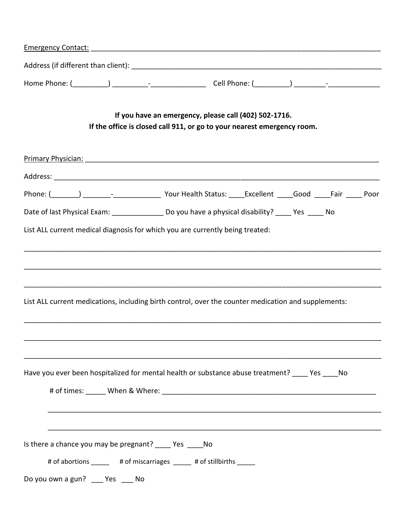|                                                                                                     | If you have an emergency, please call (402) 502-1716.<br>If the office is closed call 911, or go to your nearest emergency room. |  |  |
|-----------------------------------------------------------------------------------------------------|----------------------------------------------------------------------------------------------------------------------------------|--|--|
|                                                                                                     |                                                                                                                                  |  |  |
|                                                                                                     |                                                                                                                                  |  |  |
|                                                                                                     |                                                                                                                                  |  |  |
| Date of last Physical Exam: _________________ Do you have a physical disability? _____ Yes _____ No |                                                                                                                                  |  |  |
| List ALL current medical diagnosis for which you are currently being treated:                       |                                                                                                                                  |  |  |
| List ALL current medications, including birth control, over the counter medication and supplements: |                                                                                                                                  |  |  |
| Have you ever been hospitalized for mental health or substance abuse treatment? _____ Yes _____ No  |                                                                                                                                  |  |  |
|                                                                                                     |                                                                                                                                  |  |  |
|                                                                                                     |                                                                                                                                  |  |  |
| Is there a chance you may be pregnant? ______ Yes ______ No                                         |                                                                                                                                  |  |  |
|                                                                                                     | # of abortions _______ # of miscarriages _____ # of stillbirths _____                                                            |  |  |
| Do you own a gun? __ Yes __ No                                                                      |                                                                                                                                  |  |  |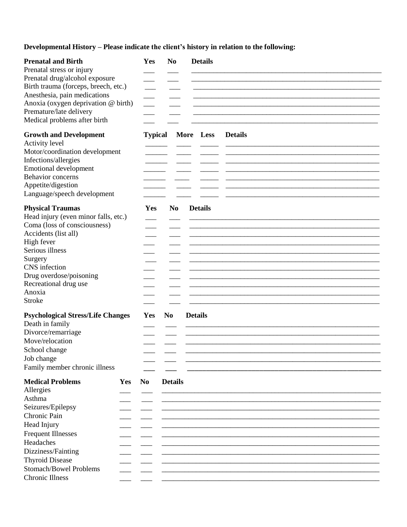Developmental History - Please indicate the client's history in relation to the following:

| <b>Prenatal and Birth</b><br>Prenatal stress or injury<br>Prenatal drug/alcohol exposure<br>Birth trauma (forceps, breech, etc.)<br>Anesthesia, pain medications<br>Anoxia (oxygen deprivation @ birth)<br>Premature/late delivery<br>Medical problems after birth  |     | Yes            | N <sub>0</sub> | <b>Details</b>              |
|---------------------------------------------------------------------------------------------------------------------------------------------------------------------------------------------------------------------------------------------------------------------|-----|----------------|----------------|-----------------------------|
| <b>Growth and Development</b><br>Activity level<br>Motor/coordination development<br>Infections/allergies<br><b>Emotional development</b><br>Behavior concerns<br>Appetite/digestion<br>Language/speech development                                                 |     | <b>Typical</b> |                | More Less<br><b>Details</b> |
| <b>Physical Traumas</b><br>Head injury (even minor falls, etc.)<br>Coma (loss of consciousness)<br>Accidents (list all)<br>High fever<br>Serious illness<br>Surgery<br>CNS infection<br>Drug overdose/poisoning<br>Recreational drug use<br>Anoxia<br><b>Stroke</b> |     | Yes            | N <sub>0</sub> | <b>Details</b>              |
| <b>Psychological Stress/Life Changes</b><br>Death in family<br>Divorce/remarriage<br>Move/relocation<br>School change<br>Job change<br>Family member chronic illness                                                                                                |     | Yes            | N <sub>0</sub> | <b>Details</b>              |
| <b>Medical Problems</b><br>Allergies<br>Asthma<br>Seizures/Epilepsy<br>Chronic Pain<br>Head Injury<br><b>Frequent Illnesses</b><br>Headaches<br>Dizziness/Fainting<br><b>Thyroid Disease</b><br><b>Stomach/Bowel Problems</b><br><b>Chronic Illness</b>             | Yes | N <sub>0</sub> | <b>Details</b> |                             |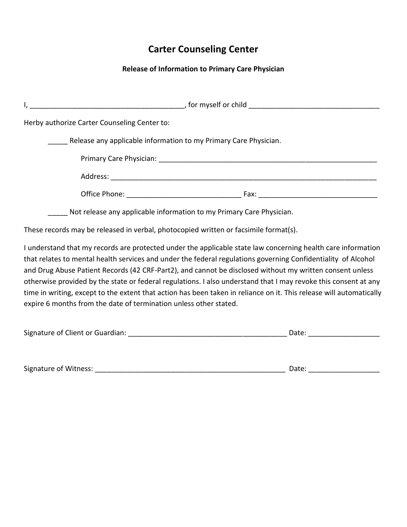# **Carter Counseling Center**

### **Release of Information to Primary Care Physician**

| Herby authorize Carter Counseling Center to:                         |
|----------------------------------------------------------------------|
| Release any applicable information to my Primary Care Physician.     |
|                                                                      |
|                                                                      |
|                                                                      |
| Not release any applicable information to my Primary Care Physician. |

These records may be released in verbal, photocopied written or facsimile format(s).

I understand that my records are protected under the applicable state law concerning health care information that relates to mental health services and under the federal regulations governing Confidentiality of Alcohol and Drug Abuse Patient Records (42 CRF-Part2), and cannot be disclosed without my written consent unless otherwise provided by the state or federal regulations. I also understand that I may revoke this consent at any time in writing, except to the extent that action has been taken in reliance on it. This release will automatically expire 6 months from the date of termination unless other stated.

| Signature of Client or Guardian: |  |
|----------------------------------|--|
|                                  |  |

| Signature of Witness: |  |
|-----------------------|--|
|-----------------------|--|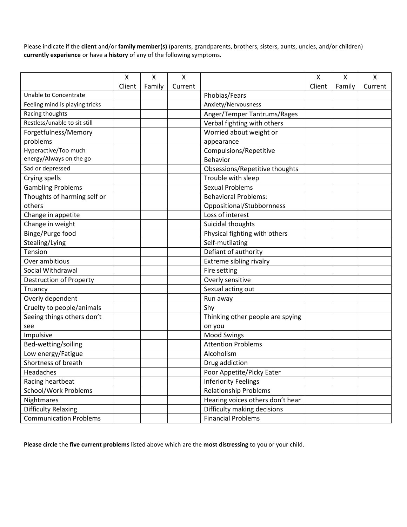Please indicate if the **client** and/or **family member(s)** (parents, grandparents, brothers, sisters, aunts, uncles, and/or children) **currently experience** or have a **history** of any of the following symptoms.

|                                | Χ      | X      | X       |                                  | X      | Χ      | $\pmb{\mathsf{X}}$ |
|--------------------------------|--------|--------|---------|----------------------------------|--------|--------|--------------------|
|                                | Client | Family | Current |                                  | Client | Family | Current            |
| Unable to Concentrate          |        |        |         | Phobias/Fears                    |        |        |                    |
| Feeling mind is playing tricks |        |        |         | Anxiety/Nervousness              |        |        |                    |
| Racing thoughts                |        |        |         | Anger/Temper Tantrums/Rages      |        |        |                    |
| Restless/unable to sit still   |        |        |         | Verbal fighting with others      |        |        |                    |
| Forgetfulness/Memory           |        |        |         | Worried about weight or          |        |        |                    |
| problems                       |        |        |         | appearance                       |        |        |                    |
| Hyperactive/Too much           |        |        |         | Compulsions/Repetitive           |        |        |                    |
| energy/Always on the go        |        |        |         | Behavior                         |        |        |                    |
| Sad or depressed               |        |        |         | Obsessions/Repetitive thoughts   |        |        |                    |
| Crying spells                  |        |        |         | Trouble with sleep               |        |        |                    |
| <b>Gambling Problems</b>       |        |        |         | <b>Sexual Problems</b>           |        |        |                    |
| Thoughts of harming self or    |        |        |         | <b>Behavioral Problems:</b>      |        |        |                    |
| others                         |        |        |         | Oppositional/Stubbornness        |        |        |                    |
| Change in appetite             |        |        |         | Loss of interest                 |        |        |                    |
| Change in weight               |        |        |         | Suicidal thoughts                |        |        |                    |
| Binge/Purge food               |        |        |         | Physical fighting with others    |        |        |                    |
| Stealing/Lying                 |        |        |         | Self-mutilating                  |        |        |                    |
| Tension                        |        |        |         | Defiant of authority             |        |        |                    |
| Over ambitious                 |        |        |         | Extreme sibling rivalry          |        |        |                    |
| Social Withdrawal              |        |        |         | Fire setting                     |        |        |                    |
| Destruction of Property        |        |        |         | Overly sensitive                 |        |        |                    |
| Truancy                        |        |        |         | Sexual acting out                |        |        |                    |
| Overly dependent               |        |        |         | Run away                         |        |        |                    |
| Cruelty to people/animals      |        |        |         | Shy                              |        |        |                    |
| Seeing things others don't     |        |        |         | Thinking other people are spying |        |        |                    |
| see                            |        |        |         | on you                           |        |        |                    |
| Impulsive                      |        |        |         | <b>Mood Swings</b>               |        |        |                    |
| Bed-wetting/soiling            |        |        |         | <b>Attention Problems</b>        |        |        |                    |
| Low energy/Fatigue             |        |        |         | Alcoholism                       |        |        |                    |
| Shortness of breath            |        |        |         | Drug addiction                   |        |        |                    |
| Headaches                      |        |        |         | Poor Appetite/Picky Eater        |        |        |                    |
| Racing heartbeat               |        |        |         | <b>Inferiority Feelings</b>      |        |        |                    |
| School/Work Problems           |        |        |         | <b>Relationship Problems</b>     |        |        |                    |
| Nightmares                     |        |        |         | Hearing voices others don't hear |        |        |                    |
| <b>Difficulty Relaxing</b>     |        |        |         | Difficulty making decisions      |        |        |                    |
| <b>Communication Problems</b>  |        |        |         | <b>Financial Problems</b>        |        |        |                    |

**Please circle** the **five current problems** listed above which are the **most distressing** to you or your child.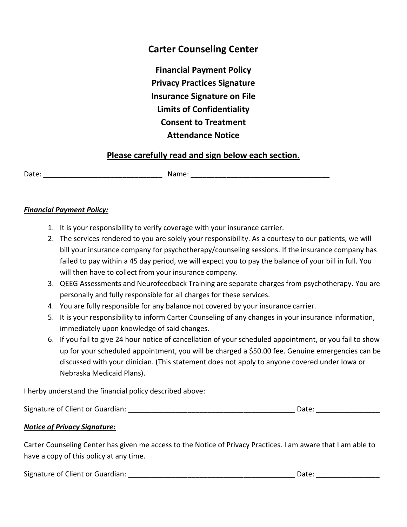# **Carter Counseling Center**

**Financial Payment Policy Privacy Practices Signature Insurance Signature on File Limits of Confidentiality Consent to Treatment Attendance Notice**

## **Please carefully read and sign below each section.**

Date: \_\_\_\_\_\_\_\_\_\_\_\_\_\_\_\_\_\_\_\_\_\_\_\_\_\_\_\_\_\_ Name: \_\_\_\_\_\_\_\_\_\_\_\_\_\_\_\_\_\_\_\_\_\_\_\_\_\_\_\_\_\_\_\_\_\_\_

#### *Financial Payment Policy:*

- 1. It is your responsibility to verify coverage with your insurance carrier.
- 2. The services rendered to you are solely your responsibility. As a courtesy to our patients, we will bill your insurance company for psychotherapy/counseling sessions. If the insurance company has failed to pay within a 45 day period, we will expect you to pay the balance of your bill in full. You will then have to collect from your insurance company.
- 3. QEEG Assessments and Neurofeedback Training are separate charges from psychotherapy. You are personally and fully responsible for all charges for these services.
- 4. You are fully responsible for any balance not covered by your insurance carrier.
- 5. It is your responsibility to inform Carter Counseling of any changes in your insurance information, immediately upon knowledge of said changes.
- 6. If you fail to give 24 hour notice of cancellation of your scheduled appointment, or you fail to show up for your scheduled appointment, you will be charged a \$50.00 fee. Genuine emergencies can be discussed with your clinician. (This statement does not apply to anyone covered under Iowa or Nebraska Medicaid Plans).

I herby understand the financial policy described above:

Signature of Client or Guardian: \_\_\_\_\_\_\_\_\_\_\_\_\_\_\_\_\_\_\_\_\_\_\_\_\_\_\_\_\_\_\_\_\_\_\_\_\_\_\_\_\_\_ Date: \_\_\_\_\_\_\_\_\_\_\_\_\_\_\_\_

### *Notice of Privacy Signature:*

Carter Counseling Center has given me access to the Notice of Privacy Practices. I am aware that I am able to have a copy of this policy at any time.

Signature of Client or Guardian: \_\_\_\_\_\_\_\_\_\_\_\_\_\_\_\_\_\_\_\_\_\_\_\_\_\_\_\_\_\_\_\_\_\_\_\_\_\_\_\_\_\_ Date: \_\_\_\_\_\_\_\_\_\_\_\_\_\_\_\_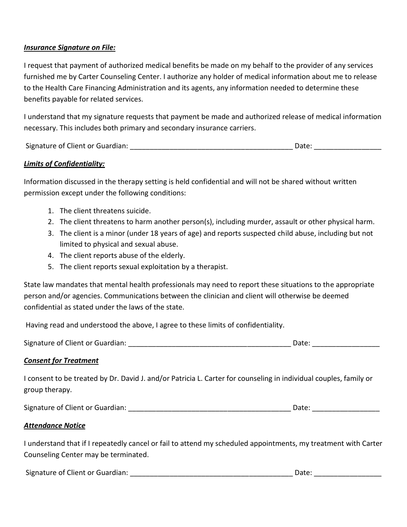#### *Insurance Signature on File:*

I request that payment of authorized medical benefits be made on my behalf to the provider of any services furnished me by Carter Counseling Center. I authorize any holder of medical information about me to release to the Health Care Financing Administration and its agents, any information needed to determine these benefits payable for related services.

I understand that my signature requests that payment be made and authorized release of medical information necessary. This includes both primary and secondary insurance carriers.

Signature of Client or Guardian: \_\_\_\_\_\_\_\_\_\_\_\_\_\_\_\_\_\_\_\_\_\_\_\_\_\_\_\_\_\_\_\_\_\_\_\_\_\_\_\_\_ Date: \_\_\_\_\_\_\_\_\_\_\_\_\_\_\_\_\_

#### *Limits of Confidentiality:*

Information discussed in the therapy setting is held confidential and will not be shared without written permission except under the following conditions:

- 1. The client threatens suicide.
- 2. The client threatens to harm another person(s), including murder, assault or other physical harm.
- 3. The client is a minor (under 18 years of age) and reports suspected child abuse, including but not limited to physical and sexual abuse.
- 4. The client reports abuse of the elderly.
- 5. The client reports sexual exploitation by a therapist.

State law mandates that mental health professionals may need to report these situations to the appropriate person and/or agencies. Communications between the clinician and client will otherwise be deemed confidential as stated under the laws of the state.

Having read and understood the above, I agree to these limits of confidentiality.

| Signature of Client or Guardian: | Date: |
|----------------------------------|-------|
|----------------------------------|-------|

#### *Consent for Treatment*

I consent to be treated by Dr. David J. and/or Patricia L. Carter for counseling in individual couples, family or group therapy.

Signature of Client or Guardian: \_\_\_\_\_\_\_\_\_\_\_\_\_\_\_\_\_\_\_\_\_\_\_\_\_\_\_\_\_\_\_\_\_\_\_\_\_\_\_\_\_ Date: \_\_\_\_\_\_\_\_\_\_\_\_\_\_\_\_\_

#### *Attendance Notice*

I understand that if I repeatedly cancel or fail to attend my scheduled appointments, my treatment with Carter Counseling Center may be terminated.

Signature of Client or Guardian: \_\_\_\_\_\_\_\_\_\_\_\_\_\_\_\_\_\_\_\_\_\_\_\_\_\_\_\_\_\_\_\_\_\_\_\_\_\_\_\_\_ Date: \_\_\_\_\_\_\_\_\_\_\_\_\_\_\_\_\_